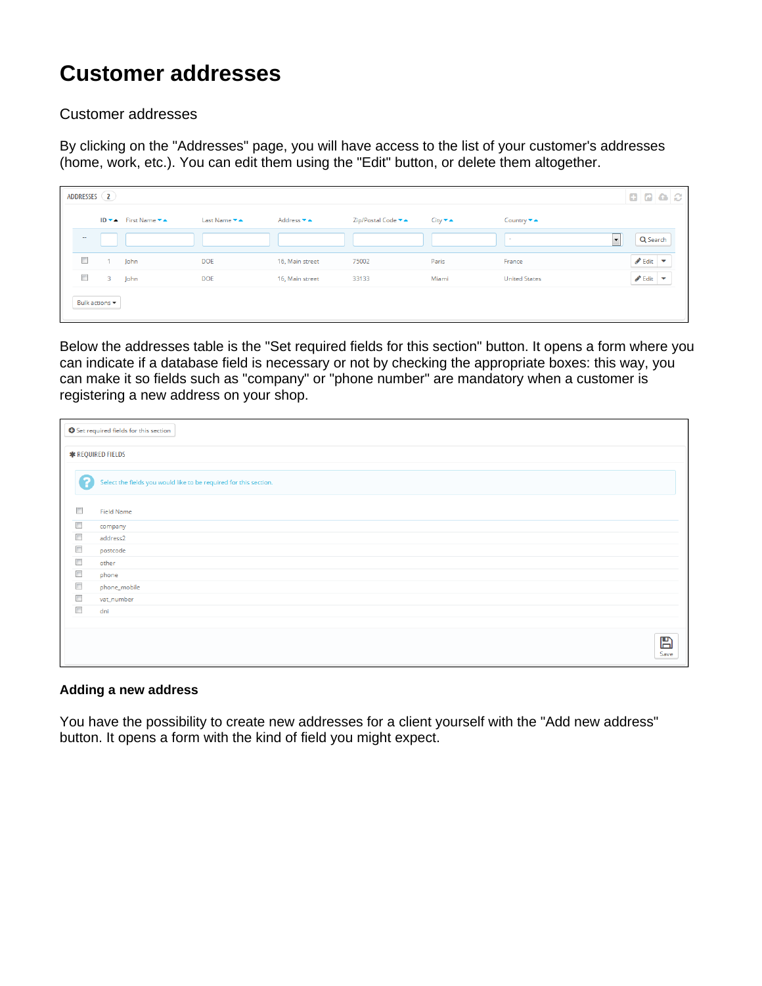## **Customer addresses**

Customer addresses

By clicking on the "Addresses" page, you will have access to the list of your customer's addresses (home, work, etc.). You can edit them using the "Edit" button, or delete them altogether.

|        | ADDRESSES (2)                     |                     |              |                                                |                    |                            |                      | 8868                                  |
|--------|-----------------------------------|---------------------|--------------|------------------------------------------------|--------------------|----------------------------|----------------------|---------------------------------------|
|        |                                   | ID ▼▲ First Name ▼▲ | Last Name ▼▲ | Address $\blacktriangleright$ $\blacktriangle$ | Zip/Postal Code ▼▲ | $City \blacktriangleright$ | Country ▼▲           |                                       |
| $\sim$ |                                   |                     |              |                                                |                    |                            | $\sim$               | $\vert$ $\vert$<br>Q Search           |
| $\Box$ |                                   | John                | <b>DOE</b>   | 16, Main street                                | 75002              | Paris                      | France               | $\triangle$ Edit $\blacktriangledown$ |
| $\Box$ |                                   | 3 John              | <b>DOE</b>   | 16, Main street                                | 33133              | Miami                      | <b>United States</b> | $\triangle$ Edit $\triangledown$      |
|        | Bulk actions $\blacktriangledown$ |                     |              |                                                |                    |                            |                      |                                       |

Below the addresses table is the "Set required fields for this section" button. It opens a form where you can indicate if a database field is necessary or not by checking the appropriate boxes: this way, you can make it so fields such as "company" or "phone number" are mandatory when a customer is registering a new address on your shop.

| Set required fields for this section |                                                                   |  |  |  |  |  |  |  |
|--------------------------------------|-------------------------------------------------------------------|--|--|--|--|--|--|--|
| <b>*</b> REQUIRED FIELDS             |                                                                   |  |  |  |  |  |  |  |
| 2                                    | Select the fields you would like to be required for this section. |  |  |  |  |  |  |  |
| $\Box$                               | <b>Field Name</b>                                                 |  |  |  |  |  |  |  |
| $\Box$                               | company                                                           |  |  |  |  |  |  |  |
| $\Box$                               | address2                                                          |  |  |  |  |  |  |  |
| $\Box$                               | postcode                                                          |  |  |  |  |  |  |  |
| $\Box$                               | other                                                             |  |  |  |  |  |  |  |
| $\Box$                               | phone                                                             |  |  |  |  |  |  |  |
| $\Box$                               | phone_mobile                                                      |  |  |  |  |  |  |  |
| $\Box$                               | vat_number                                                        |  |  |  |  |  |  |  |
| $\Box$                               | dni                                                               |  |  |  |  |  |  |  |
|                                      |                                                                   |  |  |  |  |  |  |  |
|                                      | B<br>Save                                                         |  |  |  |  |  |  |  |

## **Adding a new address**

You have the possibility to create new addresses for a client yourself with the "Add new address" button. It opens a form with the kind of field you might expect.